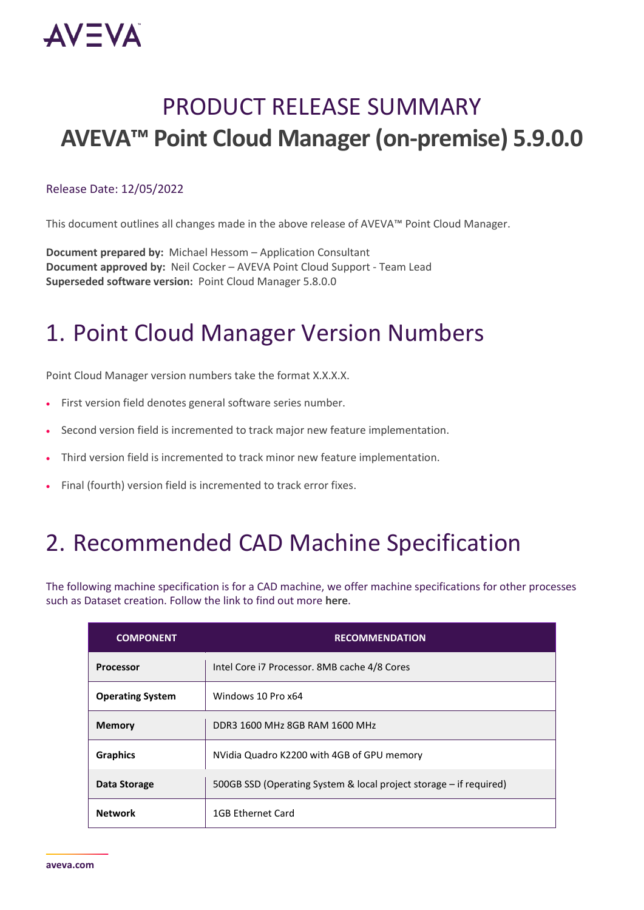

## PRODUCT RELEASE SUMMARY **AVEVA™ Point Cloud Manager (on-premise) 5.9.0.0**

#### Release Date: 12/05/2022

This document outlines all changes made in the above release of AVEVA™ Point Cloud Manager.

**Document prepared by:** Michael Hessom – Application Consultant **Document approved by:** Neil Cocker – AVEVA Point Cloud Support - Team Lead **Superseded software version:** Point Cloud Manager 5.8.0.0

### 1. Point Cloud Manager Version Numbers

Point Cloud Manager version numbers take the format X.X.X.X.

- First version field denotes general software series number.
- Second version field is incremented to track major new feature implementation.
- Third version field is incremented to track minor new feature implementation.
- Final (fourth) version field is incremented to track error fixes.

### 2. Recommended CAD Machine Specification

The following machine specification is for a CAD machine, we offer machine specifications for other processes such as Dataset creation. Follow the link to find out more **[here](https://lfmproducts.blob.core.windows.net/lfm-technical-portal/technical-resources/AVEVA_Point_Cloud_Manager__machine_specification_rev1.pdf)**.

| <b>COMPONENT</b>        | <b>RECOMMENDATION</b>                                              |
|-------------------------|--------------------------------------------------------------------|
| <b>Processor</b>        | Intel Core i7 Processor. 8MB cache 4/8 Cores                       |
| <b>Operating System</b> | Windows 10 Pro x64                                                 |
| <b>Memory</b>           | DDR3 1600 MHz 8GB RAM 1600 MHz                                     |
| <b>Graphics</b>         | NVidia Quadro K2200 with 4GB of GPU memory                         |
| Data Storage            | 500GB SSD (Operating System & local project storage - if required) |
| <b>Network</b>          | 1GB Ethernet Card                                                  |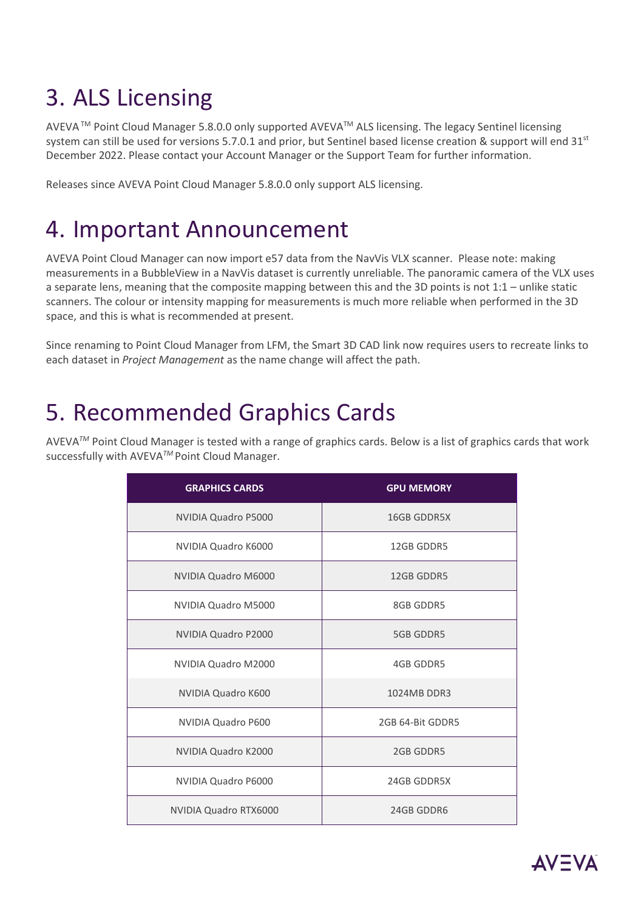## 3. ALS Licensing

AVEVATM Point Cloud Manager 5.8.0.0 only supported AVEVATM ALS licensing. The legacy Sentinel licensing system can still be used for versions 5.7.0.1 and prior, but Sentinel based license creation & support will end 31st December 2022. Please contact your Account Manager or the Support Team for further information.

Releases since AVEVA Point Cloud Manager 5.8.0.0 only support ALS licensing.

### 4. Important Announcement

AVEVA Point Cloud Manager can now import e57 data from the NavVis VLX scanner. Please note: making measurements in a BubbleView in a NavVis dataset is currently unreliable. The panoramic camera of the VLX uses a separate lens, meaning that the composite mapping between this and the 3D points is not 1:1 – unlike static scanners. The colour or intensity mapping for measurements is much more reliable when performed in the 3D space, and this is what is recommended at present.

Since renaming to Point Cloud Manager from LFM, the Smart 3D CAD link now requires users to recreate links to each dataset in *Project Management* as the name change will affect the path.

### 5. Recommended Graphics Cards

AVEVA*TM* Point Cloud Manager is tested with a range of graphics cards. Below is a list of graphics cards that work successfully with AVEVA*TM* Point Cloud Manager.

| <b>GRAPHICS CARDS</b> | <b>GPU MEMORY</b>  |
|-----------------------|--------------------|
| NVIDIA Quadro P5000   | <b>16GB GDDR5X</b> |
| NVIDIA Quadro K6000   | 12GB GDDR5         |
| NVIDIA Quadro M6000   | 12GB GDDR5         |
| NVIDIA Quadro M5000   | 8GB GDDR5          |
| NVIDIA Quadro P2000   | <b>5GB GDDR5</b>   |
| NVIDIA Quadro M2000   | 4GB GDDR5          |
| NVIDIA Quadro K600    | 1024MB DDR3        |
| NVIDIA Quadro P600    | 2GB 64-Bit GDDR5   |
| NVIDIA Quadro K2000   | 2GB GDDR5          |
| NVIDIA Quadro P6000   | 24GB GDDR5X        |
| NVIDIA Quadro RTX6000 | 24GB GDDR6         |

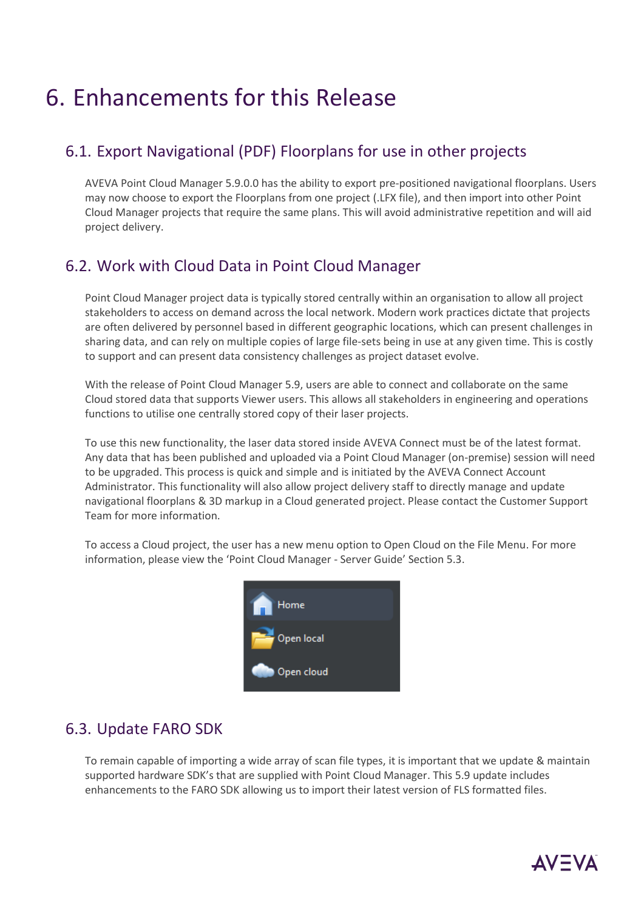### 6. Enhancements for this Release

#### 6.1. Export Navigational (PDF) Floorplans for use in other projects

AVEVA Point Cloud Manager 5.9.0.0 has the ability to export pre-positioned navigational floorplans. Users may now choose to export the Floorplans from one project (.LFX file), and then import into other Point Cloud Manager projects that require the same plans. This will avoid administrative repetition and will aid project delivery.

#### 6.2. Work with Cloud Data in Point Cloud Manager

Point Cloud Manager project data is typically stored centrally within an organisation to allow all project stakeholders to access on demand across the local network. Modern work practices dictate that projects are often delivered by personnel based in different geographic locations, which can present challenges in sharing data, and can rely on multiple copies of large file-sets being in use at any given time. This is costly to support and can present data consistency challenges as project dataset evolve.

With the release of Point Cloud Manager 5.9, users are able to connect and collaborate on the same Cloud stored data that supports Viewer users. This allows all stakeholders in engineering and operations functions to utilise one centrally stored copy of their laser projects.

To use this new functionality, the laser data stored inside AVEVA Connect must be of the latest format. Any data that has been published and uploaded via a Point Cloud Manager (on-premise) session will need to be upgraded. This process is quick and simple and is initiated by the AVEVA Connect Account Administrator. This functionality will also allow project delivery staff to directly manage and update navigational floorplans & 3D markup in a Cloud generated project. Please contact the Customer Support Team for more information.

To access a Cloud project, the user has a new menu option to Open Cloud on the File Menu. For more information, please view the 'Point Cloud Manager - Server Guide' Section 5.3.



#### 6.3. Update FARO SDK

To remain capable of importing a wide array of scan file types, it is important that we update & maintain supported hardware SDK's that are supplied with Point Cloud Manager. This 5.9 update includes enhancements to the FARO SDK allowing us to import their latest version of FLS formatted files.

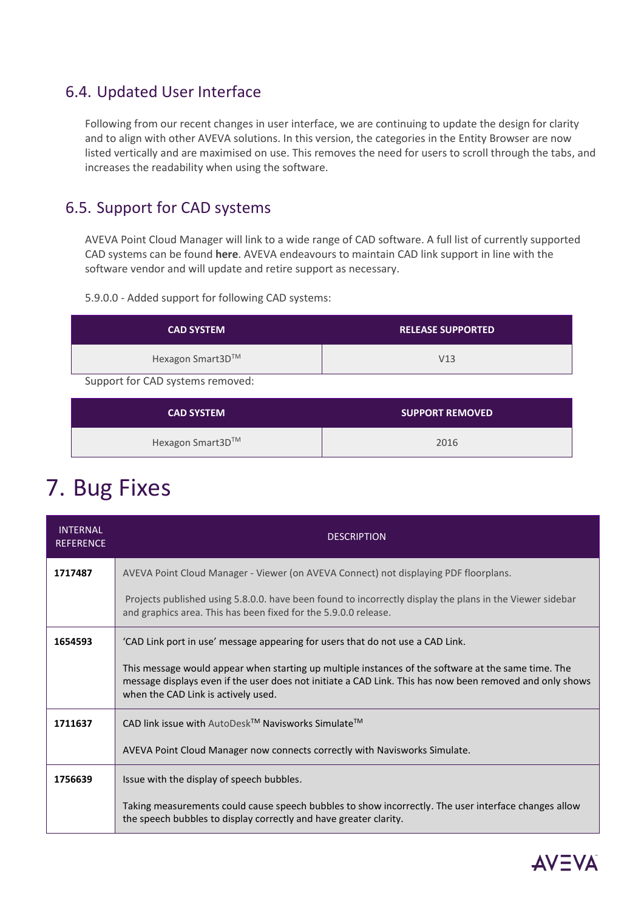#### 6.4. Updated User Interface

Following from our recent changes in user interface, we are continuing to update the design for clarity and to align with other AVEVA solutions. In this version, the categories in the Entity Browser are now listed vertically and are maximised on use. This removes the need for users to scroll through the tabs, and increases the readability when using the software.

### 6.5. Support for CAD systems

AVEVA Point Cloud Manager will link to a wide range of CAD software. A full list of currently supported CAD systems can be found **[here](https://lfmproducts.blob.core.windows.net/aveva-point-cloud-manager-on-premise-help-guide/AVEVA_Point_Cloud_Manager__CADlink_Support_5_9.pdf)**. AVEVA endeavours to maintain CAD link support in line with the software vendor and will update and retire support as necessary.

5.9.0.0 - Added support for following CAD systems:

| <b>CAD SYSTEM</b> | <b>RELEASE SUPPORTED</b> |
|-------------------|--------------------------|
| Hexagon Smart3D™  | V13                      |

Support for CAD systems removed:

| <b>CAD SYSTEM</b> | <b>SUPPORT REMOVED</b> |
|-------------------|------------------------|
| Hexagon Smart3D™  | 2016                   |

### 7. Bug Fixes

| <b>INTFRNAI</b><br><b>REFERENCE</b> | <b>DESCRIPTION</b>                                                                                                                                                                                                                                     |
|-------------------------------------|--------------------------------------------------------------------------------------------------------------------------------------------------------------------------------------------------------------------------------------------------------|
| 1717487                             | AVEVA Point Cloud Manager - Viewer (on AVEVA Connect) not displaying PDF floorplans.                                                                                                                                                                   |
|                                     | Projects published using 5.8.0.0. have been found to incorrectly display the plans in the Viewer sidebar<br>and graphics area. This has been fixed for the 5.9.0.0 release.                                                                            |
| 1654593                             | 'CAD Link port in use' message appearing for users that do not use a CAD Link.                                                                                                                                                                         |
|                                     | This message would appear when starting up multiple instances of the software at the same time. The<br>message displays even if the user does not initiate a CAD Link. This has now been removed and only shows<br>when the CAD Link is actively used. |
| 1711637                             | CAD link issue with AutoDesk™ Navisworks Simulate™                                                                                                                                                                                                     |
|                                     | AVEVA Point Cloud Manager now connects correctly with Navisworks Simulate.                                                                                                                                                                             |
| 1756639                             | Issue with the display of speech bubbles.                                                                                                                                                                                                              |
|                                     | Taking measurements could cause speech bubbles to show incorrectly. The user interface changes allow<br>the speech bubbles to display correctly and have greater clarity.                                                                              |

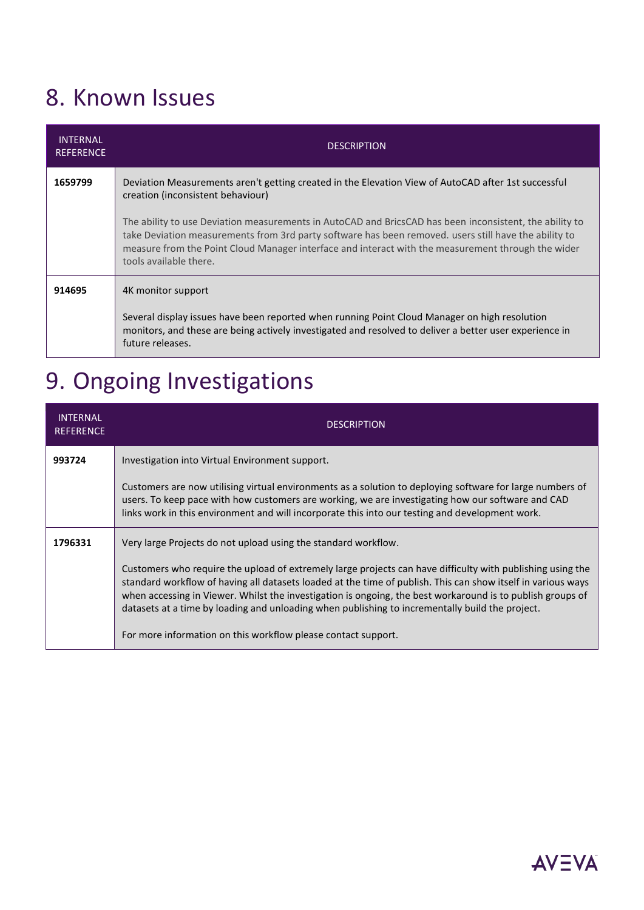## 8. Known Issues

| <b>INTERNAL</b><br><b>REFERENCE</b> | <b>DESCRIPTION</b>                                                                                                                                                                                                                                                                                                                               |
|-------------------------------------|--------------------------------------------------------------------------------------------------------------------------------------------------------------------------------------------------------------------------------------------------------------------------------------------------------------------------------------------------|
| 1659799                             | Deviation Measurements aren't getting created in the Elevation View of AutoCAD after 1st successful<br>creation (inconsistent behaviour)                                                                                                                                                                                                         |
|                                     | The ability to use Deviation measurements in AutoCAD and BricsCAD has been inconsistent, the ability to<br>take Deviation measurements from 3rd party software has been removed, users still have the ability to<br>measure from the Point Cloud Manager interface and interact with the measurement through the wider<br>tools available there. |
| 914695                              | 4K monitor support                                                                                                                                                                                                                                                                                                                               |
|                                     | Several display issues have been reported when running Point Cloud Manager on high resolution<br>monitors, and these are being actively investigated and resolved to deliver a better user experience in<br>future releases.                                                                                                                     |

# 9. Ongoing Investigations

| <b>INTERNAL</b><br><b>REFERENCE</b> | <b>DESCRIPTION</b>                                                                                                                                                                                                                                                                                                                                                                                                                          |
|-------------------------------------|---------------------------------------------------------------------------------------------------------------------------------------------------------------------------------------------------------------------------------------------------------------------------------------------------------------------------------------------------------------------------------------------------------------------------------------------|
| 993724                              | Investigation into Virtual Environment support.                                                                                                                                                                                                                                                                                                                                                                                             |
|                                     | Customers are now utilising virtual environments as a solution to deploying software for large numbers of<br>users. To keep pace with how customers are working, we are investigating how our software and CAD<br>links work in this environment and will incorporate this into our testing and development work.                                                                                                                           |
| 1796331                             | Very large Projects do not upload using the standard workflow.                                                                                                                                                                                                                                                                                                                                                                              |
|                                     | Customers who require the upload of extremely large projects can have difficulty with publishing using the<br>standard workflow of having all datasets loaded at the time of publish. This can show itself in various ways<br>when accessing in Viewer. Whilst the investigation is ongoing, the best workaround is to publish groups of<br>datasets at a time by loading and unloading when publishing to incrementally build the project. |
|                                     | For more information on this workflow please contact support.                                                                                                                                                                                                                                                                                                                                                                               |